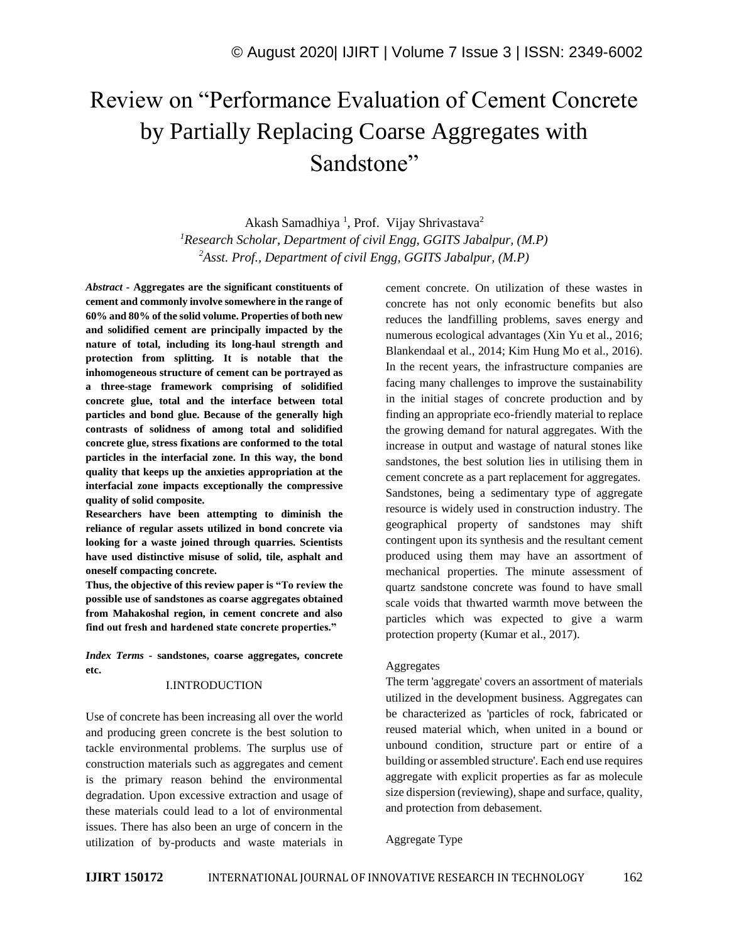# Review on "Performance Evaluation of Cement Concrete by Partially Replacing Coarse Aggregates with Sandstone"

Akash Samadhiya<sup>1</sup>, Prof. Vijay Shrivastava<sup>2</sup> *<sup>1</sup>Research Scholar, Department of civil Engg, GGITS Jabalpur, (M.P) <sup>2</sup>Asst. Prof., Department of civil Engg, GGITS Jabalpur, (M.P)*

*Abstract -* **Aggregates are the significant constituents of cement and commonly involve somewhere in the range of 60% and 80% of the solid volume. Properties of both new and solidified cement are principally impacted by the nature of total, including its long-haul strength and protection from splitting. It is notable that the inhomogeneous structure of cement can be portrayed as a three-stage framework comprising of solidified concrete glue, total and the interface between total particles and bond glue. Because of the generally high contrasts of solidness of among total and solidified concrete glue, stress fixations are conformed to the total particles in the interfacial zone. In this way, the bond quality that keeps up the anxieties appropriation at the interfacial zone impacts exceptionally the compressive quality of solid composite.**

**Researchers have been attempting to diminish the reliance of regular assets utilized in bond concrete via looking for a waste joined through quarries. Scientists have used distinctive misuse of solid, tile, asphalt and oneself compacting concrete.** 

**Thus, the objective of this review paper is "To review the possible use of sandstones as coarse aggregates obtained from Mahakoshal region, in cement concrete and also find out fresh and hardened state concrete properties."**

*Index Terms -* **sandstones, coarse aggregates, concrete etc.**

#### I.INTRODUCTION

Use of concrete has been increasing all over the world and producing green concrete is the best solution to tackle environmental problems. The surplus use of construction materials such as aggregates and cement is the primary reason behind the environmental degradation. Upon excessive extraction and usage of these materials could lead to a lot of environmental issues. There has also been an urge of concern in the utilization of by-products and waste materials in cement concrete. On utilization of these wastes in concrete has not only economic benefits but also reduces the landfilling problems, saves energy and numerous ecological advantages (Xin Yu et al., 2016; Blankendaal et al., 2014; Kim Hung Mo et al., 2016). In the recent years, the infrastructure companies are facing many challenges to improve the sustainability in the initial stages of concrete production and by finding an appropriate eco-friendly material to replace the growing demand for natural aggregates. With the increase in output and wastage of natural stones like sandstones, the best solution lies in utilising them in cement concrete as a part replacement for aggregates. Sandstones, being a sedimentary type of aggregate resource is widely used in construction industry. The geographical property of sandstones may shift contingent upon its synthesis and the resultant cement produced using them may have an assortment of mechanical properties. The minute assessment of quartz sandstone concrete was found to have small scale voids that thwarted warmth move between the particles which was expected to give a warm protection property (Kumar et al., 2017).

## Aggregates

The term 'aggregate' covers an assortment of materials utilized in the development business. Aggregates can be characterized as 'particles of rock, fabricated or reused material which, when united in a bound or unbound condition, structure part or entire of a building or assembled structure'. Each end use requires aggregate with explicit properties as far as molecule size dispersion (reviewing), shape and surface, quality, and protection from debasement.

## Aggregate Type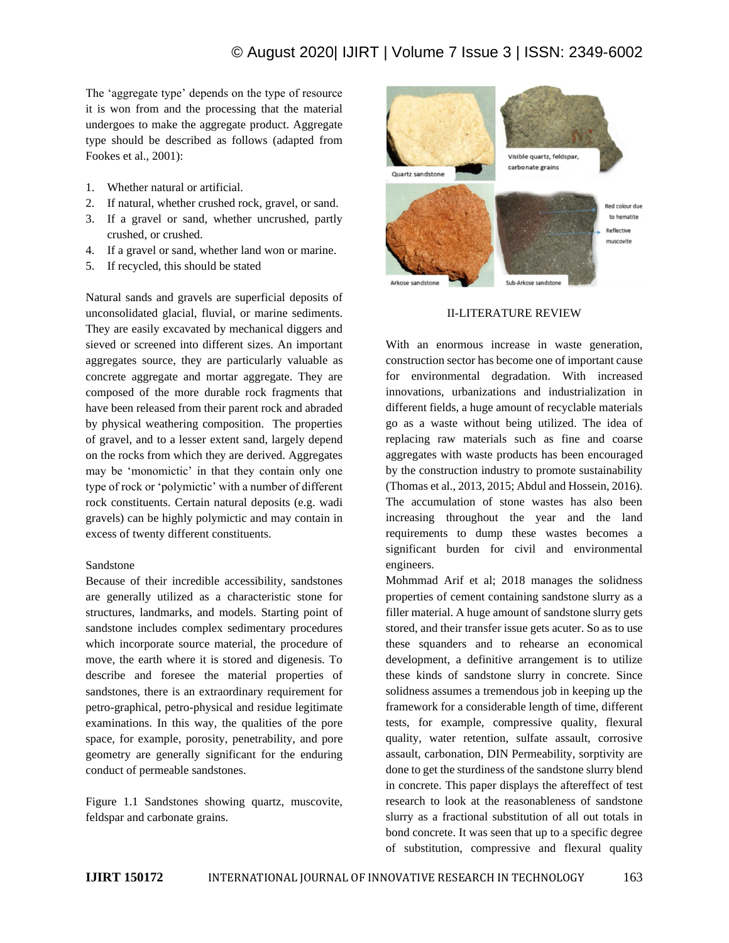The 'aggregate type' depends on the type of resource it is won from and the processing that the material undergoes to make the aggregate product. Aggregate type should be described as follows (adapted from Fookes et al., 2001):

- 1. Whether natural or artificial.
- 2. If natural, whether crushed rock, gravel, or sand.
- 3. If a gravel or sand, whether uncrushed, partly crushed, or crushed.
- 4. If a gravel or sand, whether land won or marine.
- 5. If recycled, this should be stated

Natural sands and gravels are superficial deposits of unconsolidated glacial, fluvial, or marine sediments. They are easily excavated by mechanical diggers and sieved or screened into different sizes. An important aggregates source, they are particularly valuable as concrete aggregate and mortar aggregate. They are composed of the more durable rock fragments that have been released from their parent rock and abraded by physical weathering composition. The properties of gravel, and to a lesser extent sand, largely depend on the rocks from which they are derived. Aggregates may be 'monomictic' in that they contain only one type of rock or 'polymictic' with a number of different rock constituents. Certain natural deposits (e.g. wadi gravels) can be highly polymictic and may contain in excess of twenty different constituents.

### Sandstone

Because of their incredible accessibility, sandstones are generally utilized as a characteristic stone for structures, landmarks, and models. Starting point of sandstone includes complex sedimentary procedures which incorporate source material, the procedure of move, the earth where it is stored and digenesis. To describe and foresee the material properties of sandstones, there is an extraordinary requirement for petro-graphical, petro-physical and residue legitimate examinations. In this way, the qualities of the pore space, for example, porosity, penetrability, and pore geometry are generally significant for the enduring conduct of permeable sandstones.

Figure 1.1 Sandstones showing quartz, muscovite, feldspar and carbonate grains.



### II-LITERATURE REVIEW

With an enormous increase in waste generation, construction sector has become one of important cause for environmental degradation. With increased innovations, urbanizations and industrialization in different fields, a huge amount of recyclable materials go as a waste without being utilized. The idea of replacing raw materials such as fine and coarse aggregates with waste products has been encouraged by the construction industry to promote sustainability (Thomas et al., 2013, 2015; Abdul and Hossein, 2016). The accumulation of stone wastes has also been increasing throughout the year and the land requirements to dump these wastes becomes a significant burden for civil and environmental engineers.

Mohmmad Arif et al; 2018 manages the solidness properties of cement containing sandstone slurry as a filler material. A huge amount of sandstone slurry gets stored, and their transfer issue gets acuter. So as to use these squanders and to rehearse an economical development, a definitive arrangement is to utilize these kinds of sandstone slurry in concrete. Since solidness assumes a tremendous job in keeping up the framework for a considerable length of time, different tests, for example, compressive quality, flexural quality, water retention, sulfate assault, corrosive assault, carbonation, DIN Permeability, sorptivity are done to get the sturdiness of the sandstone slurry blend in concrete. This paper displays the aftereffect of test research to look at the reasonableness of sandstone slurry as a fractional substitution of all out totals in bond concrete. It was seen that up to a specific degree of substitution, compressive and flexural quality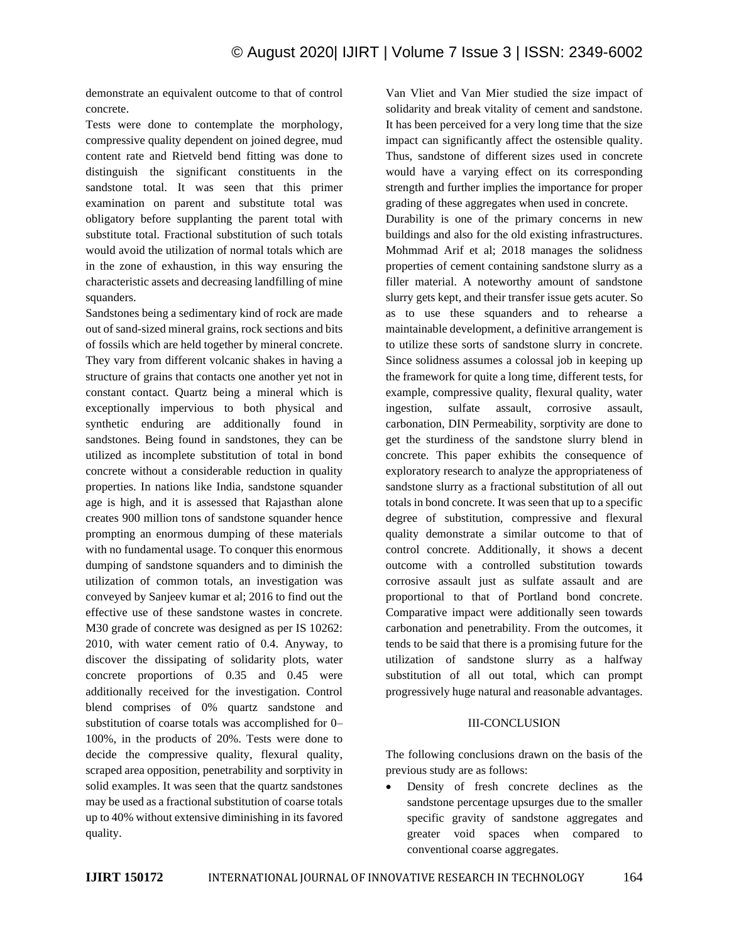demonstrate an equivalent outcome to that of control concrete.

Tests were done to contemplate the morphology, compressive quality dependent on joined degree, mud content rate and Rietveld bend fitting was done to distinguish the significant constituents in the sandstone total. It was seen that this primer examination on parent and substitute total was obligatory before supplanting the parent total with substitute total. Fractional substitution of such totals would avoid the utilization of normal totals which are in the zone of exhaustion, in this way ensuring the characteristic assets and decreasing landfilling of mine squanders.

Sandstones being a sedimentary kind of rock are made out of sand-sized mineral grains, rock sections and bits of fossils which are held together by mineral concrete. They vary from different volcanic shakes in having a structure of grains that contacts one another yet not in constant contact. Quartz being a mineral which is exceptionally impervious to both physical and synthetic enduring are additionally found in sandstones. Being found in sandstones, they can be utilized as incomplete substitution of total in bond concrete without a considerable reduction in quality properties. In nations like India, sandstone squander age is high, and it is assessed that Rajasthan alone creates 900 million tons of sandstone squander hence prompting an enormous dumping of these materials with no fundamental usage. To conquer this enormous dumping of sandstone squanders and to diminish the utilization of common totals, an investigation was conveyed by Sanjeev kumar et al; 2016 to find out the effective use of these sandstone wastes in concrete. M30 grade of concrete was designed as per IS 10262: 2010, with water cement ratio of 0.4. Anyway, to discover the dissipating of solidarity plots, water concrete proportions of 0.35 and 0.45 were additionally received for the investigation. Control blend comprises of 0% quartz sandstone and substitution of coarse totals was accomplished for 0– 100%, in the products of 20%. Tests were done to decide the compressive quality, flexural quality, scraped area opposition, penetrability and sorptivity in solid examples. It was seen that the quartz sandstones may be used as a fractional substitution of coarse totals up to 40% without extensive diminishing in its favored quality.

Van Vliet and Van Mier studied the size impact of solidarity and break vitality of cement and sandstone. It has been perceived for a very long time that the size impact can significantly affect the ostensible quality. Thus, sandstone of different sizes used in concrete would have a varying effect on its corresponding strength and further implies the importance for proper grading of these aggregates when used in concrete.

Durability is one of the primary concerns in new buildings and also for the old existing infrastructures. Mohmmad Arif et al; 2018 manages the solidness properties of cement containing sandstone slurry as a filler material. A noteworthy amount of sandstone slurry gets kept, and their transfer issue gets acuter. So as to use these squanders and to rehearse a maintainable development, a definitive arrangement is to utilize these sorts of sandstone slurry in concrete. Since solidness assumes a colossal job in keeping up the framework for quite a long time, different tests, for example, compressive quality, flexural quality, water ingestion, sulfate assault, corrosive assault, carbonation, DIN Permeability, sorptivity are done to get the sturdiness of the sandstone slurry blend in concrete. This paper exhibits the consequence of exploratory research to analyze the appropriateness of sandstone slurry as a fractional substitution of all out totals in bond concrete. It was seen that up to a specific degree of substitution, compressive and flexural quality demonstrate a similar outcome to that of control concrete. Additionally, it shows a decent outcome with a controlled substitution towards corrosive assault just as sulfate assault and are proportional to that of Portland bond concrete. Comparative impact were additionally seen towards carbonation and penetrability. From the outcomes, it tends to be said that there is a promising future for the utilization of sandstone slurry as a halfway substitution of all out total, which can prompt progressively huge natural and reasonable advantages.

### III-CONCLUSION

The following conclusions drawn on the basis of the previous study are as follows:

• Density of fresh concrete declines as the sandstone percentage upsurges due to the smaller specific gravity of sandstone aggregates and greater void spaces when compared to conventional coarse aggregates.